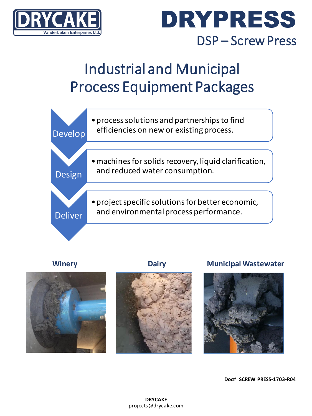



### Industrial and Municipal Process Equipment Packages





### **Winery Dairy Municipal Wastewater**





**Doc# SCREW PRESS-1703-R04**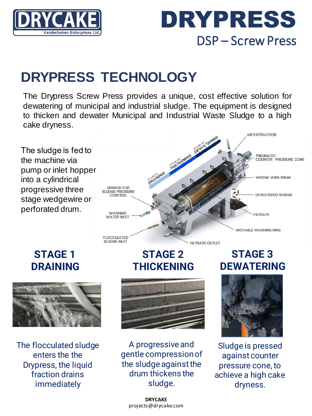

## DRYPRESS DSP – Screw Press

### **DRYPRESS TECHNOLOGY**

**SENSOR FOR** SLUDGE PRESSURE

CONTROL

**WASHING** 

**WATER INLET** 

**FLOCCULATED SLUDGE INLET** 

The Drypress Screw Press provides a unique, cost effective solution for dewatering of municipal and industrial sludge. The equipment is designed to thicken and dewater Municipal and Industrial Waste Sludge to a high cake dryness.

The sludge is fed to the machine via pump or inlet hopper into a cylindrical progressive three stage wedgewire or perforated drum.





The flocculated sludge enters the the Drypress, the liquid fraction drains immediately



**STAGE 2**

FILTRATE OUTLET

**THICKENING**

A progressive and gentle compression of the sludge against the drum thickens the sludge.



Sludge is pressed against counter pressure cone, to achieve a high cake dryness.

### **STAGE 3 DEWATERING**

**AIR EXTRACTION** 

PNEUMATIC

COUNTER - PRESSURE CONE

WEDGE WIRE DRUM

**DEWATERED SLUDGE** 

**FILTRATE** 

MOVABLE WASHING RING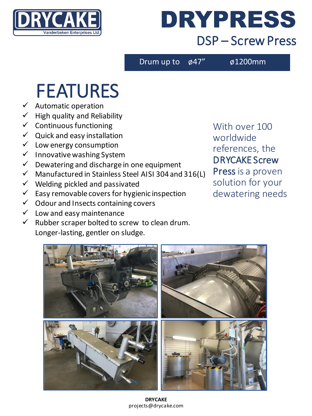

## DRYPRESS DSP – Screw Press

Drum up to  $\phi$ 47"  $\phi$ 1200mm

## FEATURES

- $\checkmark$  Automatic operation
- $\checkmark$  High quality and Reliability
- $\checkmark$  Continuous functioning
- $\checkmark$  Quick and easy installation
- $\checkmark$  Low energy consumption
- ✓ Innovative washing System
- $\checkmark$  Dewatering and discharge in one equipment
- $\checkmark$  Manufactured in Stainless Steel AISI 304 and 316(L)
- $\checkmark$  Welding pickled and passivated
- $\checkmark$  Easy removable covers for hygienic inspection
- $\checkmark$  Odour and Insects containing covers
- $\checkmark$  Low and easy maintenance
- $\checkmark$  Rubber scraper bolted to screw to clean drum. Longer-lasting, gentler on sludge.

With over 100 worldwide references, the DRYCAKE Screw Press is a proven solution for your dewatering needs



**DRYCAKE** projects@drycake.com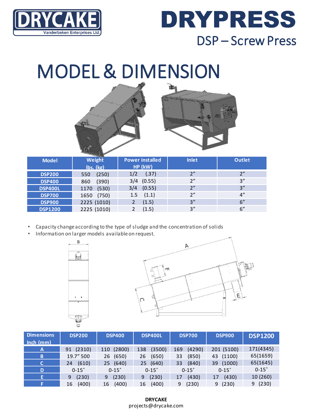

## DRYPRESS DSP – Screw Press

## MODEL & DIMENSION



| <b>Model</b>   | <b>CONTRACTOR</b><br>Weight<br>lbs. (kg) | <b>Power installed</b><br>HP (kW) | <b>Inlet</b> | <b>Outlet</b> |
|----------------|------------------------------------------|-----------------------------------|--------------|---------------|
| <b>DSP200</b>  | (250)<br>550                             | (.37)<br>1/2                      | 2"           | 2"            |
| <b>DSP400</b>  | (390)<br>860                             | $3/4$ (0.55)                      | 2"           | 3''           |
| <b>DSP400L</b> | (530)<br>1170                            | $3/4$ (0.55)                      | 2"           | 3''           |
| <b>DSP700</b>  | 1650 (750)                               | (1.1)<br>1.5                      | 2"           | 4"            |
| <b>DSP900</b>  | 2225 (1010)                              | (1.5)                             | 3''          | 6"            |
| <b>DSP1200</b> | 2225 (1010)                              | (1.5)                             | 3''          | 6"            |

- Capacity change according to the type of sludge and the concentration of solids
- Information on larger models available on request.





| <b>Dimensions</b><br>$\ln$ ch (mm) | <b>DSP200</b> | <b>DSP400</b> | <b>DSP400L</b> | <b>DSP700</b> | <b>DSP900</b> | <b>DSP1200</b> |
|------------------------------------|---------------|---------------|----------------|---------------|---------------|----------------|
| $\mathsf{A}$                       | (2310)<br>91  | (2800)<br>110 | (3500)<br>138  | (4290)<br>169 | 201 (5100)    | 171(4345)      |
| B                                  | 19.7" 500     | (650)<br>26   | (650)<br>26    | (850)<br>33   | 43 (1100)     | 65(1659)       |
| C                                  | (610)<br>24   | (640)<br>25   | (640)<br>25    | (840)<br>33   | (1000)<br>39  | 65(1645)       |
| D                                  | $0-15^\circ$  | $0-15^\circ$  | $0-15^\circ$   | $0-15^\circ$  | $0-15^\circ$  | $0-15^\circ$   |
| E.                                 | (230)<br>9    | (230)<br>9    | (230)<br>9     | (430)<br>17   | (430)<br>17   | 10 (260)       |
|                                    | (400)<br>16   | (400)<br>16   | (400)<br>16    | (230)<br>9    | (230)<br>9    | (230)<br>9     |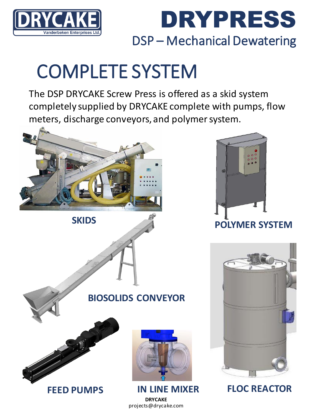



# COMPLETE SYSTEM

The DSP DRYCAKE Screw Press is offered as a skid system completely supplied by DRYCAKE complete with pumps, flow meters, discharge conveyors, and polymer system.



**SKIDS**



**POLYMER SYSTEM**



**IN LINE MIXER FLOC REACTOR**

### **BIOSOLIDS CONVEYOR**



**FEED PUMPS**



**DRYCAKE** projects@drycake.com